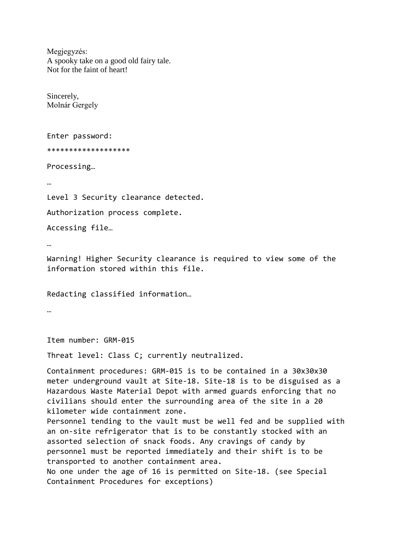Megjegyzés: A spooky take on a good old fairy tale. Not for the faint of heart!

Sincerely, Molnár Gergely

Enter password:

\*\*\*\*\*\*\*\*\*\*\*\*\*\*\*\*\*\*\*

Processing…

…

Level 3 Security clearance detected.

Authorization process complete.

Accessing file…

…

Warning! Higher Security clearance is required to view some of the information stored within this file.

Redacting classified information…

…

Item number: GRM-015

Threat level: Class C; currently neutralized.

Containment procedures: GRM-015 is to be contained in a 30x30x30 meter underground vault at Site-18. Site-18 is to be disguised as a Hazardous Waste Material Depot with armed guards enforcing that no civilians should enter the surrounding area of the site in a 20 kilometer wide containment zone.

Personnel tending to the vault must be well fed and be supplied with an on-site refrigerator that is to be constantly stocked with an assorted selection of snack foods. Any cravings of candy by personnel must be reported immediately and their shift is to be transported to another containment area. No one under the age of 16 is permitted on Site-18. (see Special

Containment Procedures for exceptions)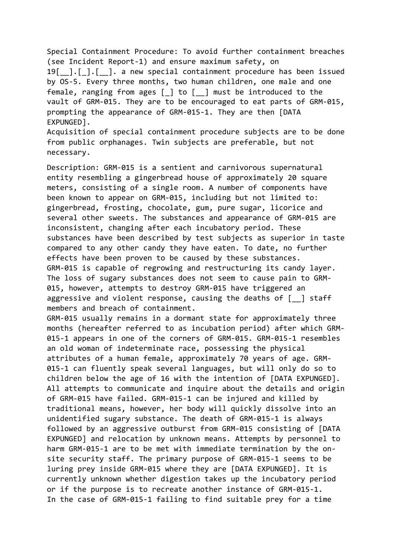Special Containment Procedure: To avoid further containment breaches (see Incident Report-1) and ensure maximum safety, on 19[ ].[].[ ]. a new special containment procedure has been issued by OS-5. Every three months, two human children, one male and one female, ranging from ages  $\lceil \; \rceil$  to  $\lceil \; \; \rceil$  must be introduced to the vault of GRM-015. They are to be encouraged to eat parts of GRM-015, prompting the appearance of GRM-015-1. They are then [DATA EXPUNGED].

Acquisition of special containment procedure subjects are to be done from public orphanages. Twin subjects are preferable, but not necessary.

Description: GRM-015 is a sentient and carnivorous supernatural entity resembling a gingerbread house of approximately 20 square meters, consisting of a single room. A number of components have been known to appear on GRM-015, including but not limited to: gingerbread, frosting, chocolate, gum, pure sugar, licorice and several other sweets. The substances and appearance of GRM-015 are inconsistent, changing after each incubatory period. These substances have been described by test subjects as superior in taste compared to any other candy they have eaten. To date, no further effects have been proven to be caused by these substances. GRM-015 is capable of regrowing and restructuring its candy layer. The loss of sugary substances does not seem to cause pain to GRM-015, however, attempts to destroy GRM-015 have triggered an aggressive and violent response, causing the deaths of  $\lceil \quad \rceil$  staff members and breach of containment.

GRM-015 usually remains in a dormant state for approximately three months (hereafter referred to as incubation period) after which GRM-015-1 appears in one of the corners of GRM-015. GRM-015-1 resembles an old woman of indeterminate race, possessing the physical attributes of a human female, approximately 70 years of age. GRM-015-1 can fluently speak several languages, but will only do so to children below the age of 16 with the intention of [DATA EXPUNGED]. All attempts to communicate and inquire about the details and origin of GRM-015 have failed. GRM-015-1 can be injured and killed by traditional means, however, her body will quickly dissolve into an unidentified sugary substance. The death of GRM-015-1 is always followed by an aggressive outburst from GRM-015 consisting of [DATA EXPUNGED] and relocation by unknown means. Attempts by personnel to harm GRM-015-1 are to be met with immediate termination by the onsite security staff. The primary purpose of GRM-015-1 seems to be luring prey inside GRM-015 where they are [DATA EXPUNGED]. It is currently unknown whether digestion takes up the incubatory period or if the purpose is to recreate another instance of GRM-015-1. In the case of GRM-015-1 failing to find suitable prey for a time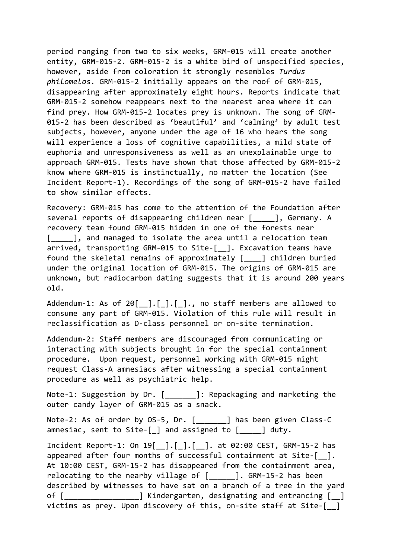period ranging from two to six weeks, GRM-015 will create another entity, GRM-015-2. GRM-015-2 is a white bird of unspecified species, however, aside from coloration it strongly resembles *Turdus philomelos.* GRM-015-2 initially appears on the roof of GRM-015, disappearing after approximately eight hours. Reports indicate that GRM-015-2 somehow reappears next to the nearest area where it can find prey. How GRM-015-2 locates prey is unknown. The song of GRM-015-2 has been described as 'beautiful' and 'calming' by adult test subjects, however, anyone under the age of 16 who hears the song will experience a loss of cognitive capabilities, a mild state of euphoria and unresponsiveness as well as an unexplainable urge to approach GRM-015. Tests have shown that those affected by GRM-015-2 know where GRM-015 is instinctually, no matter the location (See Incident Report-1). Recordings of the song of GRM-015-2 have failed to show similar effects.

Recovery: GRM-015 has come to the attention of the Foundation after several reports of disappearing children near [  $\Box$ ], Germany. A recovery team found GRM-015 hidden in one of the forests near [  $\Box$ ], and managed to isolate the area until a relocation team arrived, transporting GRM-015 to Site-[ ]. Excavation teams have found the skeletal remains of approximately [\_\_\_\_] children buried under the original location of GRM-015. The origins of GRM-015 are unknown, but radiocarbon dating suggests that it is around 200 years old.

Addendum-1: As of 20 $[$ ]. $[$ ]. $]$ ]., no staff members are allowed to consume any part of GRM-015. Violation of this rule will result in reclassification as D-class personnel or on-site termination.

Addendum-2: Staff members are discouraged from communicating or interacting with subjects brought in for the special containment procedure. Upon request, personnel working with GRM-015 might request Class-A amnesiacs after witnessing a special containment procedure as well as psychiatric help.

Note-1: Suggestion by Dr. [ ]: Repackaging and marketing the outer candy layer of GRM-015 as a snack.

Note-2: As of order by OS-5, Dr. [ ] has been given Class-C amnesiac, sent to Site-[\_] and assigned to [\_\_\_\_\_] duty.

Incident Report-1: On 19[\_\_].[\_].[\_\_]. at 02:00 CEST, GRM-15-2 has appeared after four months of successful containment at Site- $\lceil \quad \rceil$ . At 10:00 CEST, GRM-15-2 has disappeared from the containment area, relocating to the nearby village of [\_\_\_\_\_\_]. GRM-15-2 has been described by witnesses to have sat on a branch of a tree in the yard of [\_\_\_\_\_\_\_\_\_\_\_\_\_\_\_\_\_] Kindergarten, designating and entrancing [\_\_] victims as prey. Upon discovery of this, on-site staff at Site-[ ]